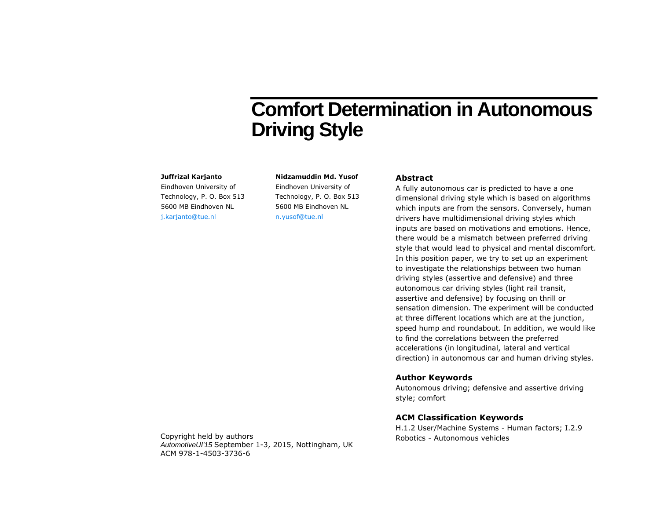# **Comfort Determination in Autonomous Driving Style**

#### **Juffrizal Karjanto**

Eindhoven University of Technology, P. O. Box 513 5600 MB Eindhoven NL [j.karjanto@tue.nl](mailto:j.karjanto@tue.nl)

**Nidzamuddin Md. Yusof** Eindhoven University of Technology, P. O. Box 513 5600 MB Eindhoven NL [n.yusof@tue.nl](file:///D:/Dropbox/PhD%20-%20Writing/Conference/AutoUI%202015/n.yusof@tue.nl)

# **Abstract**

A fully autonomous car is predicted to have a one dimensional driving style which is based on algorithms which inputs are from the sensors. Conversely, human drivers have multidimensional driving styles which inputs are based on motivations and emotions. Hence, there would be a mismatch between preferred driving style that would lead to physical and mental discomfort. In this position paper, we try to set up an experiment to investigate the relationships between two human driving styles (assertive and defensive) and three autonomous car driving styles (light rail transit, assertive and defensive) by focusing on thrill or sensation dimension. The experiment will be conducted at three different locations which are at the junction, speed hump and roundabout. In addition, we would like to find the correlations between the preferred accelerations (in longitudinal, lateral and vertical direction) in autonomous car and human driving styles.

## **Author Keywords**

Autonomous driving; defensive and assertive driving style; comfort

#### **ACM Classification Keywords**

H.1.2 User/Machine Systems - Human factors; I.2.9

Copyright held by authors The Constantine Copyright held by authors Robotics - Autonomous vehicles *AutomotiveUI'15* September 1-3, 2015, Nottingham, UK ACM 978-1-4503-3736-6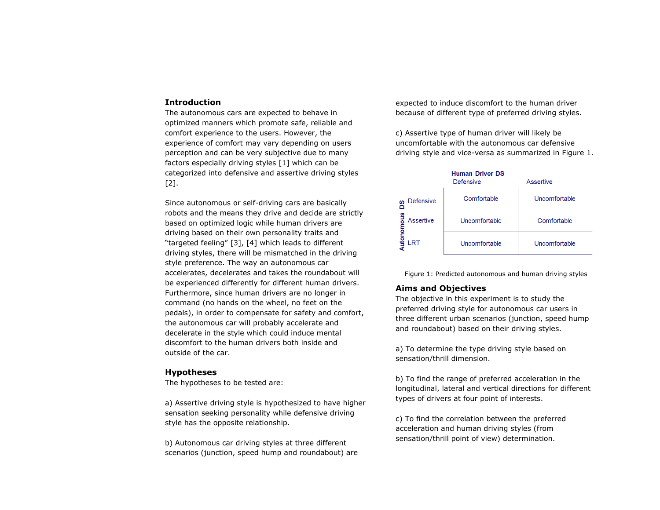## **Introduction**

The autonomous cars are expected to behave in optimized manners which promote safe, reliable and comfort experience to the users. However, the experience of comfort may vary depending on users perception and can be very subjective due to many factors especially driving styles [1] which can be categorized into defensive and assertive driving styles [2].

Since autonomous or self-driving cars are basically robots and the means they drive and decide are strictly based on optimized logic while human drivers are driving based on their own personality traits and "targeted feeling" [3], [4] which leads to different driving styles, there will be mismatched in the driving style preference. The way an autonomous car accelerates, decelerates and takes the roundabout will be experienced differently for different human drivers. Furthermore, since human drivers are no longer in command (no hands on the wheel, no feet on the pedals), in order to compensate for safety and comfort, the autonomous car will probably accelerate and decelerate in the style which could induce mental discomfort to the human drivers both inside and outside of the car.

## **Hypotheses**

The hypotheses to be tested are:

a) Assertive driving style is hypothesized to have higher sensation seeking personality while defensive driving style has the opposite relationship.

b) Autonomous car driving styles at three different scenarios (junction, speed hump and roundabout) are expected to induce discomfort to the human driver because of different type of preferred driving styles.

c) Assertive type of human driver will likely be uncomfortable with the autonomous car defensive driving style and vice-versa as summarized in [Figure 1.](#page-1-0)



<span id="page-1-0"></span>Figure 1: Predicted autonomous and human driving styles

# **Aims and Objectives**

The objective in this experiment is to study the preferred driving style for autonomous car users in three different urban scenarios (junction, speed hump and roundabout) based on their driving styles.

a) To determine the type driving style based on sensation/thrill dimension.

b) To find the range of preferred acceleration in the longitudinal, lateral and vertical directions for different types of drivers at four point of interests.

c) To find the correlation between the preferred acceleration and human driving styles (from sensation/thrill point of view) determination.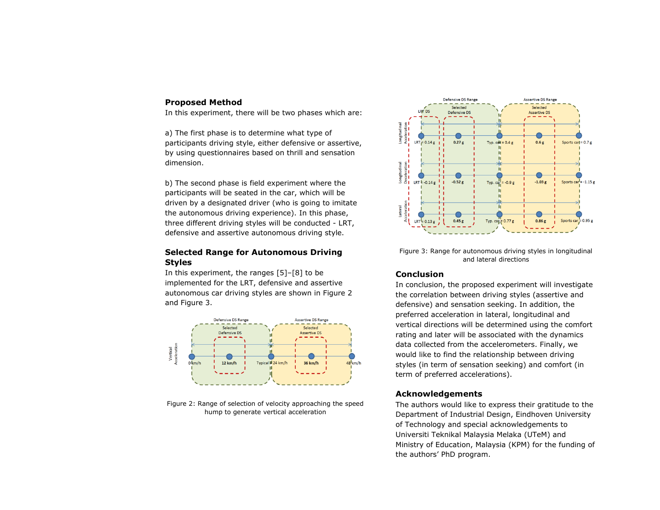# **Proposed Method**

In this experiment, there will be two phases which are:

a) The first phase is to determine what type of participants driving style, either defensive or assertive, by using questionnaires based on thrill and sensation dimension.

b) The second phase is field experiment where the participants will be seated in the car, which will be driven by a designated driver (who is going to imitate the autonomous driving experience). In this phase, three different driving styles will be conducted - LRT, defensive and assertive autonomous driving style.

# **Selected Range for Autonomous Driving Styles**

In this experiment, the ranges [5]–[8] to be implemented for the LRT, defensive and assertive autonomous car driving styles are shown in [Figure 2](#page-2-0) and [Figure 3.](#page-2-1)



<span id="page-2-0"></span>Figure 2: Range of selection of velocity approaching the speed hump to generate vertical acceleration



<span id="page-2-1"></span>Figure 3: Range for autonomous driving styles in longitudinal and lateral directions

# **Conclusion**

In conclusion, the proposed experiment will investigate the correlation between driving styles (assertive and defensive) and sensation seeking. In addition, the preferred acceleration in lateral, longitudinal and vertical directions will be determined using the comfort rating and later will be associated with the dynamics data collected from the accelerometers. Finally, we would like to find the relationship between driving styles (in term of sensation seeking) and comfort (in term of preferred accelerations).

# **Acknowledgements**

The authors would like to express their gratitude to the Department of Industrial Design, Eindhoven University of Technology and special acknowledgements to Universiti Teknikal Malaysia Melaka (UTeM) and Ministry of Education, Malaysia (KPM) for the funding of the authors' PhD program.